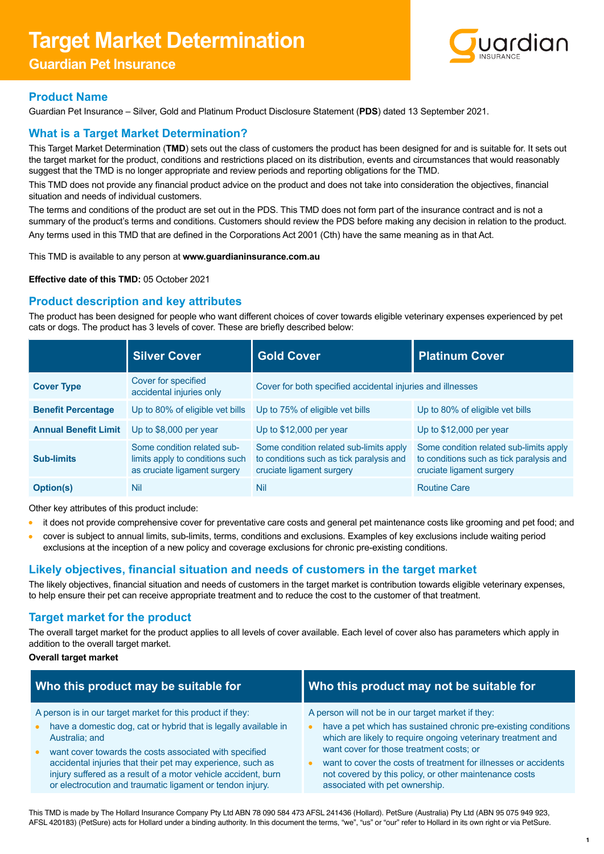# **Target Market Determination**

# **Guardian Pet Insurance**



# **Product Name**

Guardian Pet Insurance – Silver, Gold and Platinum Product Disclosure Statement (**PDS**) dated 13 September 2021.

# **What is a Target Market Determination?**

This Target Market Determination (**TMD**) sets out the class of customers the product has been designed for and is suitable for. It sets out the target market for the product, conditions and restrictions placed on its distribution, events and circumstances that would reasonably suggest that the TMD is no longer appropriate and review periods and reporting obligations for the TMD.

This TMD does not provide any financial product advice on the product and does not take into consideration the objectives, financial situation and needs of individual customers.

The terms and conditions of the product are set out in the PDS. This TMD does not form part of the insurance contract and is not a summary of the product's terms and conditions. Customers should review the PDS before making any decision in relation to the product. Any terms used in this TMD that are defined in the Corporations Act 2001 (Cth) have the same meaning as in that Act.

This TMD is available to any person at **[www.guardianinsurance.com.au](http://www.guardianinsurance.com.au)**

**Effective date of this TMD:** 05 October 2021

# **Product description and key attributes**

The product has been designed for people who want different choices of cover towards eligible veterinary expenses experienced by pet cats or dogs. The product has 3 levels of cover. These are briefly described below:

|                             | <b>Silver Cover</b>                                                                            | <b>Gold Cover</b>                                                                                                | <b>Platinum Cover</b>                                                                                            |
|-----------------------------|------------------------------------------------------------------------------------------------|------------------------------------------------------------------------------------------------------------------|------------------------------------------------------------------------------------------------------------------|
| <b>Cover Type</b>           | Cover for specified<br>accidental injuries only                                                | Cover for both specified accidental injuries and illnesses                                                       |                                                                                                                  |
| <b>Benefit Percentage</b>   | Up to 80% of eligible vet bills                                                                | Up to 75% of eligible vet bills                                                                                  | Up to 80% of eligible vet bills                                                                                  |
| <b>Annual Benefit Limit</b> | Up to \$8,000 per year                                                                         | Up to $$12,000$ per year                                                                                         | Up to $$12,000$ per year                                                                                         |
| <b>Sub-limits</b>           | Some condition related sub-<br>limits apply to conditions such<br>as cruciate ligament surgery | Some condition related sub-limits apply<br>to conditions such as tick paralysis and<br>cruciate ligament surgery | Some condition related sub-limits apply<br>to conditions such as tick paralysis and<br>cruciate ligament surgery |
| <b>Option(s)</b>            | Nil                                                                                            | Nil                                                                                                              | <b>Routine Care</b>                                                                                              |

Other key attributes of this product include:

- it does not provide comprehensive cover for preventative care costs and general pet maintenance costs like grooming and pet food; and
- cover is subject to annual limits, sub-limits, terms, conditions and exclusions. Examples of key exclusions include waiting period exclusions at the inception of a new policy and coverage exclusions for chronic pre-existing conditions.

# **Likely objectives, financial situation and needs of customers in the target market**

The likely objectives, financial situation and needs of customers in the target market is contribution towards eligible veterinary expenses, to help ensure their pet can receive appropriate treatment and to reduce the cost to the customer of that treatment.

# **Target market for the product**

The overall target market for the product applies to all levels of cover available. Each level of cover also has parameters which apply in addition to the overall target market.

#### **Overall target market**

| Who this product may be suitable for                                                                                                                                                                                                               | Who this product may not be suitable for                                                                                                                                                |  |
|----------------------------------------------------------------------------------------------------------------------------------------------------------------------------------------------------------------------------------------------------|-----------------------------------------------------------------------------------------------------------------------------------------------------------------------------------------|--|
| A person is in our target market for this product if they:                                                                                                                                                                                         | A person will not be in our target market if they:                                                                                                                                      |  |
| have a domestic dog, cat or hybrid that is legally available in<br>Australia; and                                                                                                                                                                  | have a pet which has sustained chronic pre-existing conditions<br>$\bullet$<br>which are likely to require ongoing veterinary treatment and<br>want cover for those treatment costs; or |  |
| want cover towards the costs associated with specified<br>accidental injuries that their pet may experience, such as<br>injury suffered as a result of a motor vehicle accident, burn<br>or electrocution and traumatic ligament or tendon injury. | want to cover the costs of treatment for illnesses or accidents<br>not covered by this policy, or other maintenance costs<br>associated with pet ownership.                             |  |

This TMD is made by The Hollard Insurance Company Pty Ltd ABN 78 090 584 473 AFSL 241436 (Hollard). PetSure (Australia) Pty Ltd (ABN 95 075 949 923, AFSL 420183) (PetSure) acts for Hollard under a binding authority. In this document the terms, "we", "us" or "our" refer to Hollard in its own right or via PetSure.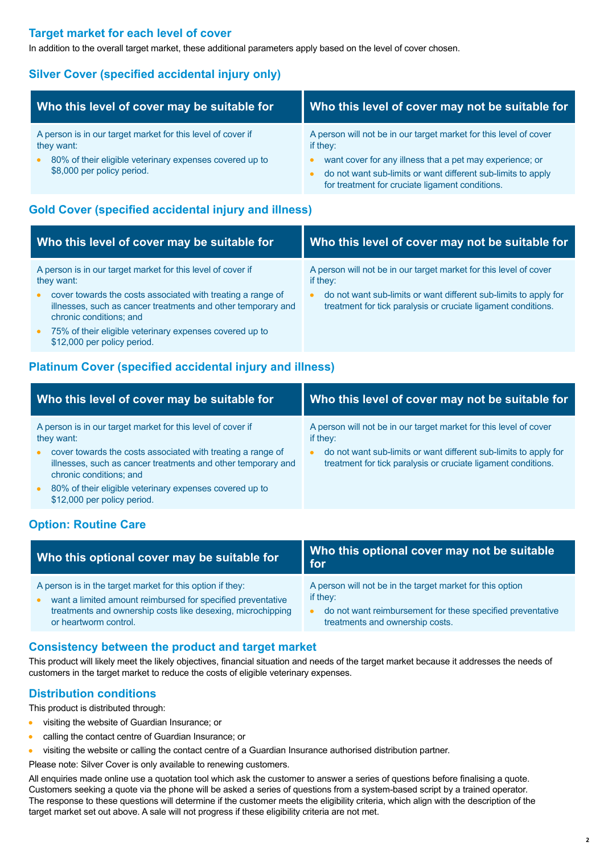# **Target market for each level of cover**

In addition to the overall target market, these additional parameters apply based on the level of cover chosen.

# **Silver Cover (specified accidental injury only)**

| Who this level of cover may be suitable for                 | Who this level of cover may not be suitable for                   |  |
|-------------------------------------------------------------|-------------------------------------------------------------------|--|
| A person is in our target market for this level of cover if | A person will not be in our target market for this level of cover |  |
| they want:                                                  | if they:                                                          |  |
| 80% of their eligible veterinary expenses covered up to     | want cover for any illness that a pet may experience; or          |  |
| $\bullet$                                                   | do not want sub-limits or want different sub-limits to apply      |  |
| \$8,000 per policy period.                                  | for treatment for cruciate ligament conditions.                   |  |

# **Gold Cover (specified accidental injury and illness)**

| Who this level of cover may be suitable for                                                                                                            | Who this level of cover may not be suitable for                                                                                   |  |
|--------------------------------------------------------------------------------------------------------------------------------------------------------|-----------------------------------------------------------------------------------------------------------------------------------|--|
| A person is in our target market for this level of cover if<br>they want:                                                                              | A person will not be in our target market for this level of cover<br>if they:                                                     |  |
| cover towards the costs associated with treating a range of<br>illnesses, such as cancer treatments and other temporary and<br>chronic conditions; and | do not want sub-limits or want different sub-limits to apply for<br>treatment for tick paralysis or cruciate ligament conditions. |  |
| 75% of their eligible veterinary expenses covered up to<br>$\bullet$<br>\$12,000 per policy period.                                                    |                                                                                                                                   |  |

# **Platinum Cover (specified accidental injury and illness)**

| Who this level of cover may be suitable for                                                         | Who this level of cover may not be suitable for                   |  |
|-----------------------------------------------------------------------------------------------------|-------------------------------------------------------------------|--|
| A person is in our target market for this level of cover if                                         | A person will not be in our target market for this level of cover |  |
| they want:                                                                                          | if they:                                                          |  |
| cover towards the costs associated with treating a range of                                         | do not want sub-limits or want different sub-limits to apply for  |  |
| illnesses, such as cancer treatments and other temporary and                                        | $\bullet$                                                         |  |
| chronic conditions; and                                                                             | treatment for tick paralysis or cruciate ligament conditions.     |  |
| 80% of their eligible veterinary expenses covered up to<br>$\bullet$<br>\$12,000 per policy period. |                                                                   |  |

# **Option: Routine Care**

| Who this optional cover may be suitable for                 | Who this optional cover may not be suitable<br>for         |
|-------------------------------------------------------------|------------------------------------------------------------|
| A person is in the target market for this option if they:   | A person will not be in the target market for this option  |
| want a limited amount reimbursed for specified preventative | if they:                                                   |
| treatments and ownership costs like desexing, microchipping | do not want reimbursement for these specified preventative |
| or heartworm control.                                       | treatments and ownership costs.                            |

# **Consistency between the product and target market**

This product will likely meet the likely objectives, financial situation and needs of the target market because it addresses the needs of customers in the target market to reduce the costs of eligible veterinary expenses.

#### **Distribution conditions**

This product is distributed through:

- **visiting the website of Guardian Insurance; or**
- **•** calling the contact centre of Guardian Insurance; or
- visiting the website or calling the contact centre of a Guardian Insurance authorised distribution partner.

Please note: Silver Cover is only available to renewing customers.

All enquiries made online use a quotation tool which ask the customer to answer a series of questions before finalising a quote. Customers seeking a quote via the phone will be asked a series of questions from a system-based script by a trained operator. The response to these questions will determine if the customer meets the eligibility criteria, which align with the description of the target market set out above. A sale will not progress if these eligibility criteria are not met.